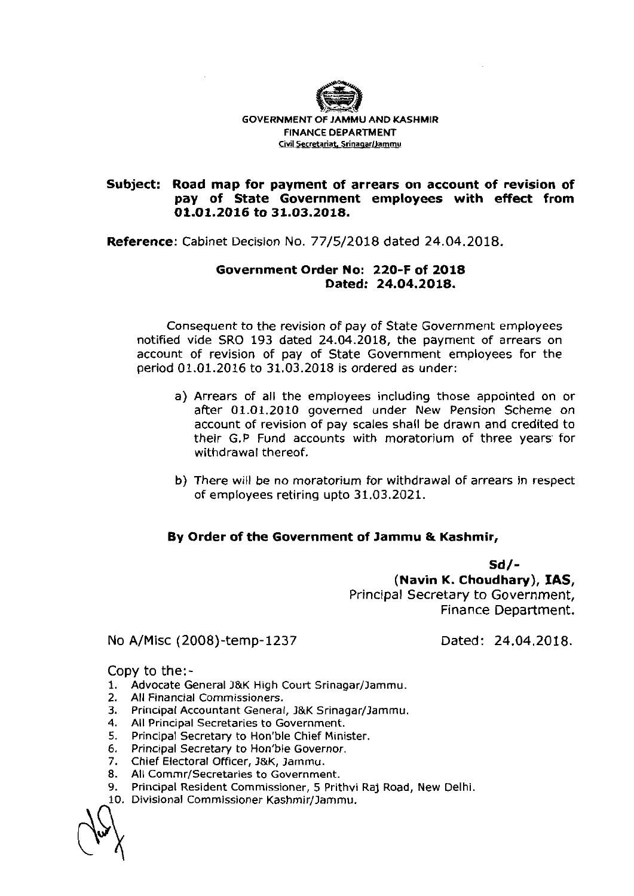

## **Subject: Road map for payment of arrears on account of revision of pay of State Government employees with effect from 01.01.2016 to 31.03.2018.**

**Reference:** Cabinet Decision No. 77/5/2018 dated 24.04.2018.

## **Government Order No: 220-F of 2018 Dated: 24.04.2018.**

Consequent to the revision of pay of State Government employees notified vide SRO 193 dated 24.04.2018, the payment of arrears on account of revision of pay of State Government employees for the period 01.01.2016 to 31.03.2018 is ordered as under:

- a) Arrears of all the employees including those appointed on or after 01.01.2010 governed under New Pension Scheme on account of revision of pay scales shall be drawn and credited to their G.P Fund accounts with moratorium of three years for withdrawal thereof.
- b) There will be no moratorium for withdrawal of arrears in respect of employees retiring upto 31.03.2021.

## **By Order of the Government of Jammu** & **Kashmir,**

**Sd/- (Navin K. Choudhary), IAS,**  Principal Secretary to Government, Finance Department.

No A/Misc (2008)-temp-1237

Dated: 24.04.2018.

Copy to the:-

- 1. Advocate General J&K High Court Srinagar/Jammu.
- 2. All Financial Commissioners.
- 3. Principal Accountant General, J&K Srinagar/Jammu.
- **4.** All Principal Secretaries to Government.
- **5.** Principal Secretary to Hon'ble Chief Minister.
- **6.** Principal Secretary to Hon'ble Governor.
- **7.** Chief Electoral Officer, l&K, lamrnu.
- 8. All Commr/Secretaries to Government.
- 9. Principal Resident Commissioner, 5 Prithvi Raj Road, New Delhi.
- 10. Divisional Commissioner Kashmir/Jammu.